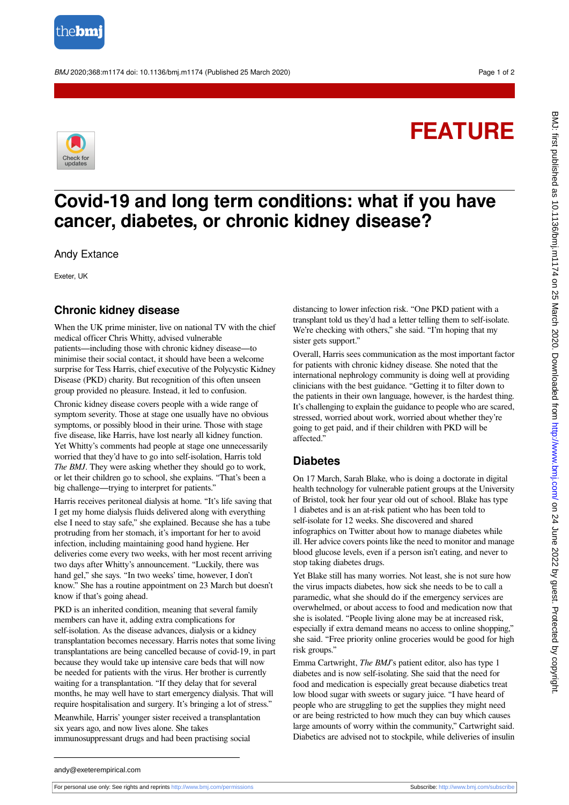

BMJ 2020;368:m1174 doi: 10.1136/bmj.m1174 (Published 25 March 2020) Page 1 of 2

# **FEATURE**



# **Covid-19 and long term conditions: what if you have cancer, diabetes, or chronic kidney disease?**

Andy Extance

Exeter, UK

## **Chronic kidney disease**

When the UK prime minister, live on national TV with the chief medical officer Chris Whitty, advised vulnerable patients—including those with chronic kidney disease—to minimise their social contact, it should have been a welcome surprise for Tess Harris, chief executive of the Polycystic Kidney Disease (PKD) charity. But recognition of this often unseen group provided no pleasure. Instead, it led to confusion.

Chronic kidney disease covers people with a wide range of symptom severity. Those at stage one usually have no obvious symptoms, or possibly blood in their urine. Those with stage five disease, like Harris, have lost nearly all kidney function. Yet Whitty's comments had people at stage one unnecessarily worried that they'd have to go into self-isolation, Harris told *The BMJ*. They were asking whether they should go to work, or let their children go to school, she explains. "That's been a big challenge—trying to interpret for patients."

Harris receives peritoneal dialysis at home. "It's life saving that I get my home dialysis fluids delivered along with everything else I need to stay safe," she explained. Because she has a tube protruding from her stomach, it's important for her to avoid infection, including maintaining good hand hygiene. Her deliveries come every two weeks, with her most recent arriving two days after Whitty's announcement. "Luckily, there was hand gel," she says. "In two weeks' time, however, I don't know." She has a routine appointment on 23 March but doesn't know if that's going ahead.

PKD is an inherited condition, meaning that several family members can have it, adding extra complications for self-isolation. As the disease advances, dialysis or a kidney transplantation becomes necessary. Harris notes that some living transplantations are being cancelled because of covid-19, in part because they would take up intensive care beds that will now be needed for patients with the virus. Her brother is currently waiting for a transplantation. "If they delay that for several months, he may well have to start emergency dialysis. That will require hospitalisation and surgery. It's bringing a lot of stress."

Meanwhile, Harris' younger sister received a transplantation six years ago, and now lives alone. She takes immunosuppressant drugs and had been practising social

distancing to lower infection risk. "One PKD patient with a transplant told us they'd had a letter telling them to self-isolate. We're checking with others," she said. "I'm hoping that my sister gets support."

Overall, Harris sees communication as the most important factor for patients with chronic kidney disease. She noted that the international nephrology community is doing well at providing clinicians with the best guidance. "Getting it to filter down to the patients in their own language, however, is the hardest thing. It's challenging to explain the guidance to people who are scared, stressed, worried about work, worried about whether they're going to get paid, and if their children with PKD will be affected."

#### **Diabetes**

On 17 March, Sarah Blake, who is doing a doctorate in digital health technology for vulnerable patient groups at the University of Bristol, took her four year old out of school. Blake has type 1 diabetes and is an at-risk patient who has been told to self-isolate for 12 weeks. She discovered and shared infographics on Twitter about how to manage diabetes while ill. Her advice covers points like the need to monitor and manage blood glucose levels, even if a person isn't eating, and never to stop taking diabetes drugs.

Yet Blake still has many worries. Not least, she is not sure how the virus impacts diabetes, how sick she needs to be to call a paramedic, what she should do if the emergency services are overwhelmed, or about access to food and medication now that she is isolated. "People living alone may be at increased risk, especially if extra demand means no access to online shopping," she said. "Free priority online groceries would be good for high risk groups."

Emma Cartwright, *The BMJ*'s patient editor, also has type 1 diabetes and is now self-isolating. She said that the need for food and medication is especially great because diabetics treat low blood sugar with sweets or sugary juice. "I have heard of people who are struggling to get the supplies they might need or are being restricted to how much they can buy which causes large amounts of worry within the community," Cartwright said. Diabetics are advised not to stockpile, while deliveries of insulin

andy@exeterempirical.com